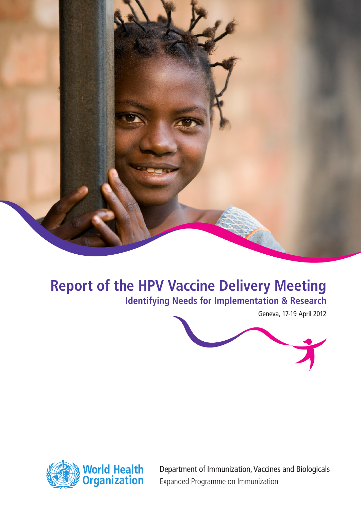

# **Report of the HPV Vaccine Delivery Meeting**

**Identifying Needs for Implementation & Research** 

Geneva, 17-19 April 2012





Department of Immunization, Vaccines and Biologicals Expanded Programme on Immunization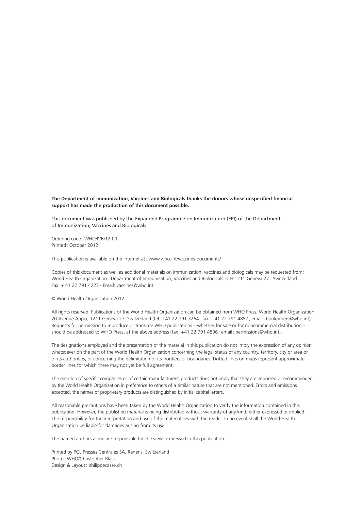**The Department of Immunization, Vaccines and Biologicals thanks the donors whose unspecified financial support has made the production of this document possible.**

This document was published by the Expanded Programme on Immunization (EPI) of the Department of Immunization, Vaccines and Biologicals

Ordering code: WHO/IVB/12.09 Printed: October 2012

This publication is available on the Internet at: www.who.int/vaccines-documents/

Copies of this document as well as additional materials on immunization, vaccines and biologicals may be requested from: World Health Organization • Department of Immunization, Vaccines and Biologicals • CH-1211 Geneva 27 • Switzerland Fax: + 41 22 791 4227 • Email: vaccines@who.int

© World Health Organization 2012

All rights reserved. Publications of the World Health Organization can be obtained from WHO Press, World Health Organization, 20 Avenue Appia, 1211 Geneva 27, Switzerland (tel: +41 22 791 3264; fax : +41 22 791 4857; email: bookorders@who.int). Requests for permission to reproduce or translate WHO publications – whether for sale or for noncommercial distribution – should be addressed to WHO Press, at the above address (fax: +41 22 791 4806; email: permissions@who.int).

The designations employed and the presentation of the material in this publication do not imply the expression of any opinion whatsoever on the part of the World Health Organization concerning the legal status of any country, territory, city or area or of its authorities, or concerning the delimitation of its frontiers or boundaries. Dotted lines on maps represent approximate border lines for which there may not yet be full agreement.

The mention of specific companies or of certain manufacturers' products does not imply that they are endorsed or recommended by the World Health Organization in preference to others of a similar nature that are not mentioned. Errors and omissions excepted, the names of proprietary products are distinguished by initial capital letters.

All reasonable precautions have been taken by the World Health Organization to verify the information contained in this publication. However, the published material is being distributed without warranty of any kind, either expressed or implied. The responsibility for the interpretation and use of the material lies with the reader. In no event shall the World Health Organization be liable for damages arising from its use.

The named authors alone are responsible for the views expressed in this publication.

Printed by PCL Presses Centrales SA, Renens, Switzerland Photo: WHO/Christopher Black Design & Layout: philippecasse.ch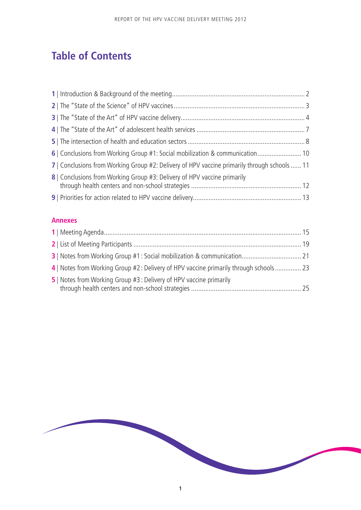## **Table of Contents**

| 6   Conclusions from Working Group #1: Social mobilization & communication 10                |  |
|----------------------------------------------------------------------------------------------|--|
| 7   Conclusions from Working Group #2: Delivery of HPV vaccine primarily through schools  11 |  |
| 8   Conclusions from Working Group #3: Delivery of HPV vaccine primarily                     |  |
|                                                                                              |  |

## **Annexes**

| 4   Notes from Working Group #2 : Delivery of HPV vaccine primarily through schools 23 |  |
|----------------------------------------------------------------------------------------|--|
| 5   Notes from Working Group #3 : Delivery of HPV vaccine primarily                    |  |

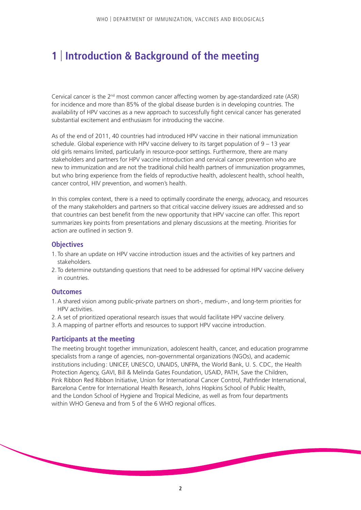## **1** | **Introduction & Background of the meeting**

Cervical cancer is the  $2^{nd}$  most common cancer affecting women by age-standardized rate (ASR) for incidence and more than 85% of the global disease burden is in developing countries. The availability of HPV vaccines as a new approach to successfully fight cervical cancer has generated substantial excitement and enthusiasm for introducing the vaccine.

As of the end of 2011, 40 countries had introduced HPV vaccine in their national immunization schedule. Global experience with HPV vaccine delivery to its target population of 9 – 13 year old girls remains limited, particularly in resource-poor settings. Furthermore, there are many stakeholders and partners for HPV vaccine introduction and cervical cancer prevention who are new to immunization and are not the traditional child health partners of immunization programmes, but who bring experience from the fields of reproductive health, adolescent health, school health, cancer control, HIV prevention, and women's health.

In this complex context, there is a need to optimally coordinate the energy, advocacy, and resources of the many stakeholders and partners so that critical vaccine delivery issues are addressed and so that countries can best benefit from the new opportunity that HPV vaccine can offer. This report summarizes key points from presentations and plenary discussions at the meeting. Priorities for action are outlined in section 9.

#### **Objectives**

- 1. To share an update on HPV vaccine introduction issues and the activities of key partners and stakeholders.
- 2. To determine outstanding questions that need to be addressed for optimal HPV vaccine delivery in countries.

#### **Outcomes**

- 1.A shared vision among public-private partners on short-, medium-, and long-term priorities for HPV activities.
- 2.A set of prioritized operational research issues that would facilitate HPV vaccine delivery.
- 3.A mapping of partner efforts and resources to support HPV vaccine introduction.

## **Participants at the meeting**

The meeting brought together immunization, adolescent health, cancer, and education programme specialists from a range of agencies, non-governmental organizations (NGOs), and academic institutions including: UNICEF, UNESCO, UNAIDS, UNFPA, the World Bank, U. S. CDC, the Health Protection Agency, GAVI, Bill & Melinda Gates Foundation, USAID, PATH, Save the Children, Pink Ribbon Red Ribbon Initiative, Union for International Cancer Control, Pathfinder International, Barcelona Centre for International Health Research, Johns Hopkins School of Public Health, and the London School of Hygiene and Tropical Medicine, as well as from four departments within WHO Geneva and from 5 of the 6 WHO regional offices.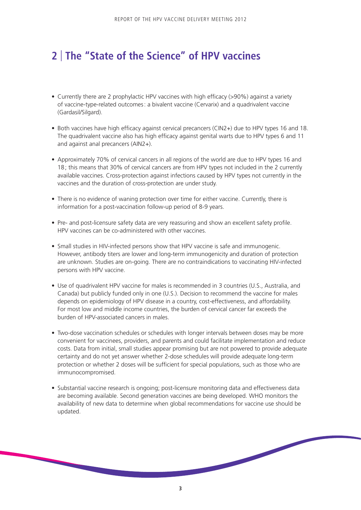## **2** | **The "State of the Science" of HPV vaccines**

- Currently there are 2 prophylactic HPV vaccines with high efficacy (>90%) against a variety of vaccine-type-related outcomes: a bivalent vaccine (Cervarix) and a quadrivalent vaccine (Gardasil/Silgard).
- Both vaccines have high efficacy against cervical precancers (CIN2+) due to HPV types 16 and 18. The quadrivalent vaccine also has high efficacy against genital warts due to HPV types 6 and 11 and against anal precancers (AIN2+).
- Approximately 70% of cervical cancers in all regions of the world are due to HPV types 16 and 18; this means that 30% of cervical cancers are from HPV types not included in the 2 currently available vaccines. Cross-protection against infections caused by HPV types not currently in the vaccines and the duration of cross-protection are under study.
- There is no evidence of waning protection over time for either vaccine. Currently, there is information for a post-vaccination follow-up period of 8-9 years.
- Pre- and post-licensure safety data are very reassuring and show an excellent safety profile. HPV vaccines can be co-administered with other vaccines.
- Small studies in HIV-infected persons show that HPV vaccine is safe and immunogenic. However, antibody titers are lower and long-term immunogenicity and duration of protection are unknown. Studies are on-going. There are no contraindications to vaccinating HIV-infected persons with HPV vaccine.
- Use of quadrivalent HPV vaccine for males is recommended in 3 countries (U.S., Australia, and Canada) but publicly funded only in one (U.S.). Decision to recommend the vaccine for males depends on epidemiology of HPV disease in a country, cost-effectiveness, and affordability. For most low and middle income countries, the burden of cervical cancer far exceeds the burden of HPV-associated cancers in males.
- Two-dose vaccination schedules or schedules with longer intervals between doses may be more convenient for vaccinees, providers, and parents and could facilitate implementation and reduce costs. Data from initial, small studies appear promising but are not powered to provide adequate certainty and do not yet answer whether 2-dose schedules will provide adequate long-term protection or whether 2 doses will be sufficient for special populations, such as those who are immunocompromised.
- Substantial vaccine research is ongoing; post-licensure monitoring data and effectiveness data are becoming available. Second generation vaccines are being developed. WHO monitors the availability of new data to determine when global recommendations for vaccine use should be updated.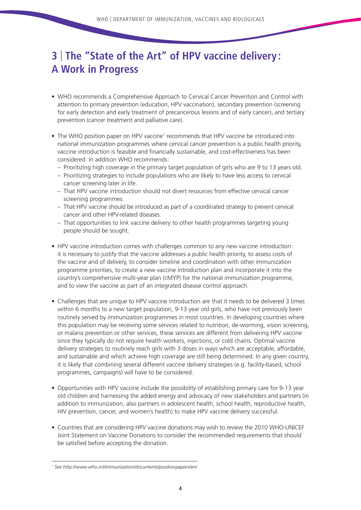## **3** | **The "State of the Art" of HPV vaccine delivery : A Work in Progress**

- WHO recommends a Comprehensive Approach to Cervical Cancer Prevention and Control with attention to primary prevention (education, HPV vaccination), secondary prevention (screening for early detection and early treatment of precancerous lesions and of early cancer), and tertiary prevention (cancer treatment and palliative care).
- The WHO position paper on HPV vaccine<sup>1</sup> recommends that HPV vaccine be introduced into national immunization programmes where cervical cancer prevention is a public health priority, vaccine introduction is feasible and financially sustainable, and cost-effectiveness has been considered. In addition WHO recommends:
	- Prioritizing high coverage in the primary target population of girls who are 9 to 13 years old.
	- Prioritizing strategies to include populations who are likely to have less access to cervical cancer screening later in life.
	- That HPV vaccine introduction should not divert resources from effective cervical cancer screening programmes.
	- That HPV vaccine should be introduced as part of a coordinated strategy to prevent cervical cancer and other HPV-related diseases.
	- That opportunities to link vaccine delivery to other health programmes targeting young people should be sought.
- HPV vaccine introduction comes with challenges common to any new vaccine introduction: it is necessary to justify that the vaccine addresses a public health priority, to assess costs of the vaccine and of delivery, to consider timeline and coordination with other immunization programme priorities, to create a new vaccine introduction plan and incorporate it into the country's comprehensive multi-year plan (cMYP) for the national immunization programme, and to view the vaccine as part of an integrated disease control approach.
- Challenges that are unique to HPV vaccine introduction are that it needs to be delivered 3 times within 6 months to a new target population, 9-13 year old girls, who have not previously been routinely served by immunization programmes in most countries. In developing countries where this population may be receiving some services related to nutrition, de-worming, vision screening, or malaria prevention or other services, these services are different from delivering HPV vaccine since they typically do not require health workers, injections, or cold chains. Optimal vaccine delivery strategies to routinely reach girls with 3 doses in ways which are acceptable, affordable, and sustainable and which achieve high coverage are still being determined. In any given country, it is likely that combining several different vaccine delivery strategies (e.g. facility-based, school programmes, campaigns) will have to be considered.
- Opportunities with HPV vaccine include the possibility of establishing primary care for 9-13 year old children and harnessing the added energy and advocacy of new stakeholders and partners (in addition to immunization, also partners in adolescent health, school health, reproductive health, HIV prevention, cancer, and women's health) to make HPV vaccine delivery successful.
- Countries that are considering HPV vaccine donations may wish to review the 2010 WHO-UNICEF Joint Statement on Vaccine Donations to consider the recommended requirements that should be satisfied before accepting the donation.

*<sup>1</sup> See http://www.who.int/immunization/documents/positionpapers/en/*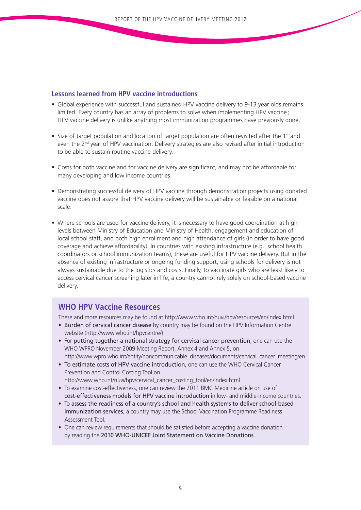## **Lessons learned from HPV vaccine introductions**

- Global experience with successful and sustained HPV vaccine delivery to 9-13 year olds remains limited. Every country has an array of problems to solve when implementing HPV vaccine; HPV vaccine delivery is unlike anything most immunization programmes have previously done.
- Size of target population and location of target population are often revisited after the  $1<sup>st</sup>$  and even the  $2<sup>nd</sup>$  year of HPV vaccination. Delivery strategies are also revised after initial introduction to be able to sustain routine vaccine delivery.
- Costs for both vaccine and for vaccine delivery are significant, and may not be affordable for many developing and low income countries.
- Demonstrating successful delivery of HPV vaccine through demonstration projects using donated vaccine does not assure that HPV vaccine delivery will be sustainable or feasible on a national scale.
- Where schools are used for vaccine delivery, it is necessary to have good coordination at high levels between Ministry of Education and Ministry of Health, engagement and education of local school staff, and both high enrollment and high attendance of girls (in order to have good coverage and achieve affordability). In countries with existing infrastructure (e.g., school health coordinators or school immunization teams), these are useful for HPV vaccine delivery. But in the absence of existing infrastructure or ongoing funding support, using schools for delivery is not always sustainable due to the logistics and costs. Finally, to vaccinate girls who are least likely to access cervical cancer screening later in life, a country cannot rely solely on school-based vaccine delivery.

## **WHO HPV Vaccine Resources**

These and more resources may be found at http://www.who.int/nuvi/hpv/resources/en/index.html

- Burden of cervical cancer disease by country may be found on the HPV Information Centre website (http://www.who.int/hpvcentre/)
- For putting together a national strategy for cervical cancer prevention, one can use the WHO WPRO November 2009 Meeting Report, Annex 4 and Annex 5, on http://www.wpro.who.int/entity/noncommunicable\_diseases/documents/cervical\_cancer\_meeting/en
- To estimate costs of HPV vaccine introduction, one can use the WHO Cervical Cancer Prevention and Control Costing Tool on http://www.who.int/nuvi/hpv/cervical\_cancer\_costing\_tool/en/index.html
- To examine cost-effectiveness, one can review the 2011 BMC Medicine article on use of cost-effectiveness models for HPV vaccine introduction in low- and middle-income countries.
- To assess the readiness of a country's school and health systems to deliver school-based immunization services, a country may use the School Vaccination Programme Readiness Assessment Tool.
- One can review requirements that should be satisfied before accepting a vaccine donation by reading the 2010 WHO-UNICEF Joint Statement on Vaccine Donations.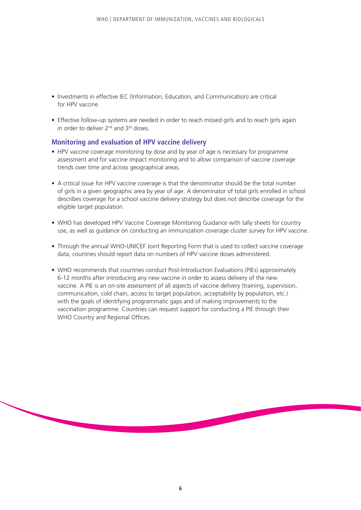- Investments in effective IEC (Information, Education, and Communication) are critical for HPV vaccine.
- Effective follow-up systems are needed in order to reach missed girls and to reach girls again in order to deliver 2<sup>nd</sup> and 3<sup>rd</sup> doses.

## **Monitoring and evaluation of HPV vaccine delivery**

- HPV vaccine coverage monitoring by dose and by year of age is necessary for programme assessment and for vaccine impact monitoring and to allow comparison of vaccine coverage trends over time and across geographical areas.
- A critical issue for HPV vaccine coverage is that the denominator should be the total number of girls in a given geographic area by year of age. A denominator of total girls enrolled in school describes coverage for a school vaccine delivery strategy but does not describe coverage for the eligible target population.
- WHO has developed HPV Vaccine Coverage Monitoring Guidance with tally sheets for country use, as well as guidance on conducting an immunization coverage cluster survey for HPV vaccine.
- Through the annual WHO-UNICEF Joint Reporting Form that is used to collect vaccine coverage data, countries should report data on numbers of HPV vaccine doses administered.
- WHO recommends that countries conduct Post-Introduction Evaluations (PIEs) approximately 6-12 months after introducing any new vaccine in order to assess delivery of the new vaccine. A PIE is an on-site assessment of all aspects of vaccine delivery (training, supervision, communication, cold chain, access to target population, acceptability by population, etc.) with the goals of identifying programmatic gaps and of making improvements to the vaccination programme. Countries can request support for conducting a PIE through their WHO Country and Regional Offices.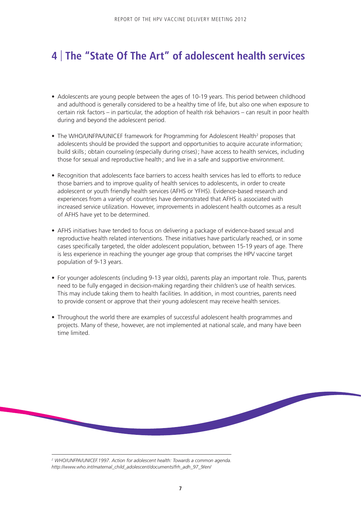## **4** | **The "State Of The Art" of adolescent health services**

- Adolescents are young people between the ages of 10-19 years. This period between childhood and adulthood is generally considered to be a healthy time of life, but also one when exposure to certain risk factors – in particular, the adoption of health risk behaviors – can result in poor health during and beyond the adolescent period.
- The WHO/UNFPA/UNICEF framework for Programming for Adolescent Health<sup>2</sup> proposes that adolescents should be provided the support and opportunities to acquire accurate information; build skills; obtain counseling (especially during crises); have access to health services, including those for sexual and reproductive health; and live in a safe and supportive environment.
- Recognition that adolescents face barriers to access health services has led to efforts to reduce those barriers and to improve quality of health services to adolescents, in order to create adolescent or youth friendly health services (AFHS or YFHS). Evidence-based research and experiences from a variety of countries have demonstrated that AFHS is associated with increased service utilization. However, improvements in adolescent health outcomes as a result of AFHS have yet to be determined.
- AFHS initiatives have tended to focus on delivering a package of evidence-based sexual and reproductive health related interventions. These initiatives have particularly reached, or in some cases specifically targeted, the older adolescent population, between 15-19 years of age. There is less experience in reaching the younger age group that comprises the HPV vaccine target population of 9-13 years.
- For younger adolescents (including 9-13 year olds), parents play an important role. Thus, parents need to be fully engaged in decision-making regarding their children's use of health services. This may include taking them to health facilities. In addition, in most countries, parents need to provide consent or approve that their young adolescent may receive health services.
- Throughout the world there are examples of successful adolescent health programmes and projects. Many of these, however, are not implemented at national scale, and many have been time limited.

<sup>2</sup> WHO/UNFPA/UNICEF.1997. Action for adolescent health: Towards a common agenda. *http://www.who.int/maternal\_child\_adolescent/documents/frh\_adh\_97\_9/en/*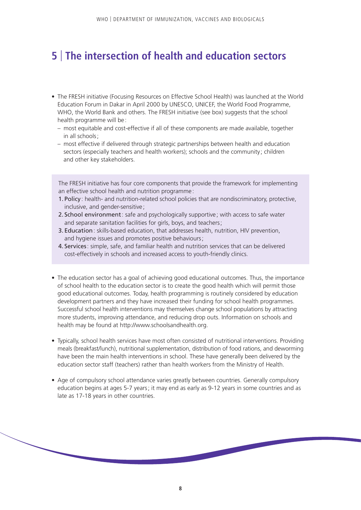## **5** | **The intersection of health and education sectors**

- The FRESH initiative (Focusing Resources on Effective School Health) was launched at the World Education Forum in Dakar in April 2000 by UNESCO, UNICEF, the World Food Programme, WHO, the World Bank and others. The FRESH initiative (see box) suggests that the school health programme will be :
	- most equitable and cost-effective if all of these components are made available, together in all schools;
	- most effective if delivered through strategic partnerships between health and education sectors (especially teachers and health workers); schools and the community ; children and other key stakeholders.

The FRESH initiative has four core components that provide the framework for implementing an effective school health and nutrition programme:

- 1. Policy : health- and nutrition-related school policies that are nondiscriminatory, protective, inclusive, and gender-sensitive ;
- 2. School environment: safe and psychologically supportive ; with access to safe water and separate sanitation facilities for girls, boys, and teachers;
- 3. Education: skills-based education, that addresses health, nutrition, HIV prevention, and hygiene issues and promotes positive behaviours;
- 4. Services: simple, safe, and familiar health and nutrition services that can be delivered cost-effectively in schools and increased access to youth-friendly clinics.
- The education sector has a goal of achieving good educational outcomes. Thus, the importance of school health to the education sector is to create the good health which will permit those good educational outcomes. Today, health programming is routinely considered by education development partners and they have increased their funding for school health programmes. Successful school health interventions may themselves change school populations by attracting more students, improving attendance, and reducing drop outs. Information on schools and health may be found at http://www.schoolsandhealth.org.
- Typically, school health services have most often consisted of nutritional interventions. Providing meals (breakfast/lunch), nutritional supplementation, distribution of food rations, and deworming have been the main health interventions in school. These have generally been delivered by the education sector staff (teachers) rather than health workers from the Ministry of Health.
- Age of compulsory school attendance varies greatly between countries. Generally compulsory education begins at ages 5-7 years; it may end as early as 9-12 years in some countries and as late as 17-18 years in other countries.

**Contract Contract Contract Contract Contract Contract Contract Contract Contract Contract Contract Contract Co**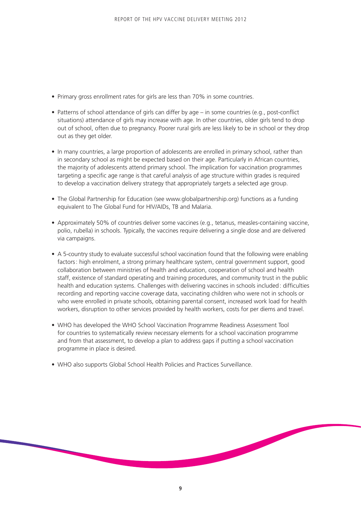- Primary gross enrollment rates for girls are less than 70% in some countries.
- Patterns of school attendance of girls can differ by age in some countries (e.g., post-conflict situations) attendance of girls may increase with age. In other countries, older girls tend to drop out of school, often due to pregnancy. Poorer rural girls are less likely to be in school or they drop out as they get older.
- In many countries, a large proportion of adolescents are enrolled in primary school, rather than in secondary school as might be expected based on their age. Particularly in African countries, the majority of adolescents attend primary school. The implication for vaccination programmes targeting a specific age range is that careful analysis of age structure within grades is required to develop a vaccination delivery strategy that appropriately targets a selected age group.
- The Global Partnership for Education (see www.globalpartnership.org) functions as a funding equivalent to The Global Fund for HIV/AIDs, TB and Malaria.
- Approximately 50% of countries deliver some vaccines (e.g., tetanus, measles-containing vaccine, polio, rubella) in schools. Typically, the vaccines require delivering a single dose and are delivered via campaigns.
- A 5-country study to evaluate successful school vaccination found that the following were enabling factors: high enrolment, a strong primary healthcare system, central government support, good collaboration between ministries of health and education, cooperation of school and health staff, existence of standard operating and training procedures, and community trust in the public health and education systems. Challenges with delivering vaccines in schools included: difficulties recording and reporting vaccine coverage data, vaccinating children who were not in schools or who were enrolled in private schools, obtaining parental consent, increased work load for health workers, disruption to other services provided by health workers, costs for per diems and travel.
- WHO has developed the WHO School Vaccination Programme Readiness Assessment Tool for countries to systematically review necessary elements for a school vaccination programme and from that assessment, to develop a plan to address gaps if putting a school vaccination programme in place is desired.
- WHO also supports Global School Health Policies and Practices Surveillance.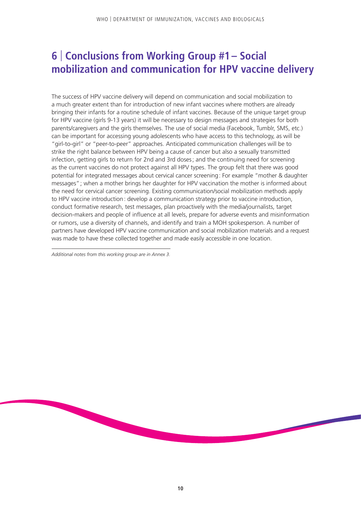## **6** | **Conclusions from Working Group #1– Social mobilization and communication for HPV vaccine delivery**

The success of HPV vaccine delivery will depend on communication and social mobilization to a much greater extent than for introduction of new infant vaccines where mothers are already bringing their infants for a routine schedule of infant vaccines. Because of the unique target group for HPV vaccine (girls 9-13 years) it will be necessary to design messages and strategies for both parents/caregivers and the girls themselves. The use of social media (Facebook, Tumblr, SMS, etc.) can be important for accessing young adolescents who have access to this technology, as will be "girl-to-girl" or "peer-to-peer" approaches. Anticipated communication challenges will be to strike the right balance between HPV being a cause of cancer but also a sexually transmitted infection, getting girls to return for 2nd and 3rd doses; and the continuing need for screening as the current vaccines do not protect against all HPV types. The group felt that there was good potential for integrated messages about cervical cancer screening: For example "mother & daughter messages"; when a mother brings her daughter for HPV vaccination the mother is informed about the need for cervical cancer screening. Existing communication/social mobilization methods apply to HPV vaccine introduction: develop a communication strategy prior to vaccine introduction, conduct formative research, test messages, plan proactively with the media/journalists, target decision-makers and people of influence at all levels, prepare for adverse events and misinformation or rumors, use a diversity of channels, and identify and train a MOH spokesperson. A number of partners have developed HPV vaccine communication and social mobilization materials and a request was made to have these collected together and made easily accessible in one location.

*Additional notes from this working group are in Annex 3.*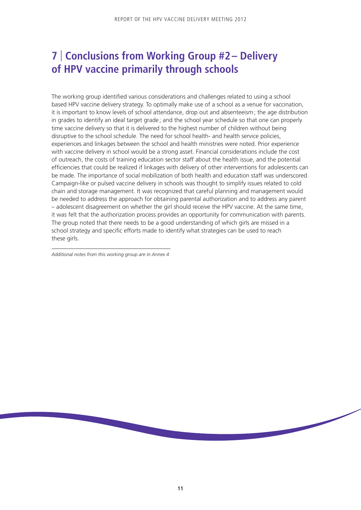## **7** | **Conclusions from Working Group #2– Delivery of HPV vaccine primarily through schools**

The working group identified various considerations and challenges related to using a school based HPV vaccine delivery strategy. To optimally make use of a school as a venue for vaccination, it is important to know levels of school attendance, drop out and absenteeism; the age distribution in grades to identify an ideal target grade ; and the school year schedule so that one can properly time vaccine delivery so that it is delivered to the highest number of children without being disruptive to the school schedule. The need for school health- and health service policies, experiences and linkages between the school and health ministries were noted. Prior experience with vaccine delivery in school would be a strong asset. Financial considerations include the cost of outreach, the costs of training education sector staff about the health issue, and the potential efficiencies that could be realized if linkages with delivery of other interventions for adolescents can be made. The importance of social mobilization of both health and education staff was underscored. Campaign-like or pulsed vaccine delivery in schools was thought to simplify issues related to cold chain and storage management. It was recognized that careful planning and management would be needed to address the approach for obtaining parental authorization and to address any parent – adolescent disagreement on whether the girl should receive the HPV vaccine. At the same time, it was felt that the authorization process provides an opportunity for communication with parents. The group noted that there needs to be a good understanding of which girls are missed in a school strategy and specific efforts made to identify what strategies can be used to reach these girls.

*Additional notes from this working group are in Annex 4.*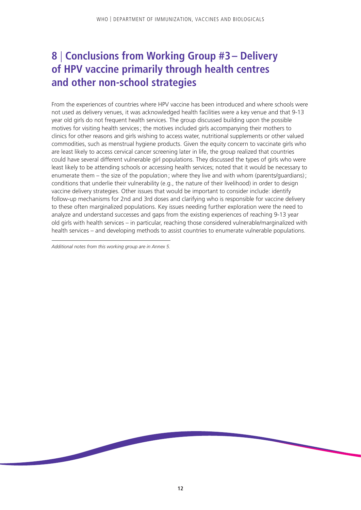## **8** | **Conclusions from Working Group #3– Delivery of HPV vaccine primarily through health centres and other non-school strategies**

From the experiences of countries where HPV vaccine has been introduced and where schools were not used as delivery venues, it was acknowledged health facilities were a key venue and that 9-13 year old girls do not frequent health services. The group discussed building upon the possible motives for visiting health services; the motives included girls accompanying their mothers to clinics for other reasons and girls wishing to access water, nutritional supplements or other valued commodities, such as menstrual hygiene products. Given the equity concern to vaccinate girls who are least likely to access cervical cancer screening later in life, the group realized that countries could have several different vulnerable girl populations. They discussed the types of girls who were least likely to be attending schools or accessing health services; noted that it would be necessary to enumerate them – the size of the population; where they live and with whom (parents/quardians); conditions that underlie their vulnerability (e.g., the nature of their livelihood) in order to design vaccine delivery strategies. Other issues that would be important to consider include: identify follow-up mechanisms for 2nd and 3rd doses and clarifying who is responsible for vaccine delivery to these often marginalized populations. Key issues needing further exploration were the need to analyze and understand successes and gaps from the existing experiences of reaching 9-13 year old girls with health services – in particular, reaching those considered vulnerable/marginalized with health services – and developing methods to assist countries to enumerate vulnerable populations.

*Additional notes from this working group are in Annex 5.*

**Contract Contract Contract Contract Contract Contract Contract Contract Contract Contract Contract Contract Co**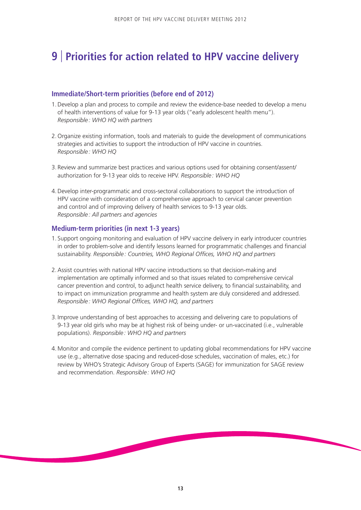## **9** | **Priorities for action related to HPV vaccine delivery**

## **Immediate/Short-term priorities (before end of 2012)**

- 1.Develop a plan and process to compile and review the evidence-base needed to develop a menu of health interventions of value for 9-13 year olds ("early adolescent health menu"). *Responsible: WHO HQ with partners*
- 2. Organize existing information, tools and materials to guide the development of communications strategies and activities to support the introduction of HPV vaccine in countries. *Responsible: WHO HQ*
- 3. Review and summarize best practices and various options used for obtaining consent/assent/ authorization for 9-13 year olds to receive HPV. *Responsible: WHO HQ*
- 4.Develop inter-programmatic and cross-sectoral collaborations to support the introduction of HPV vaccine with consideration of a comprehensive approach to cervical cancer prevention and control and of improving delivery of health services to 9-13 year olds. *Responsible: All partners and agencies*

## **Medium-term priorities (in next 1-3 years)**

- 1. Support ongoing monitoring and evaluation of HPV vaccine delivery in early introducer countries in order to problem-solve and identify lessons learned for programmatic challenges and financial sustainability. *Responsible: Countries, WHO Regional Offices, WHO HQ and partners*
- 2.Assist countries with national HPV vaccine introductions so that decision-making and implementation are optimally informed and so that issues related to comprehensive cervical cancer prevention and control, to adjunct health service delivery, to financial sustainability, and to impact on immunization programme and health system are duly considered and addressed. *Responsible: WHO Regional Offices, WHO HQ, and partners*
- 3. Improve understanding of best approaches to accessing and delivering care to populations of 9-13 year old girls who may be at highest risk of being under- or un-vaccinated (i.e., vulnerable populations). *Responsible : WHO HQ and partners*
- 4. Monitor and compile the evidence pertinent to updating global recommendations for HPV vaccine use (e.g., alternative dose spacing and reduced-dose schedules, vaccination of males, etc.) for review by WHO's Strategic Advisory Group of Experts (SAGE) for immunization for SAGE review and recommendation. *Responsible : WHO HQ*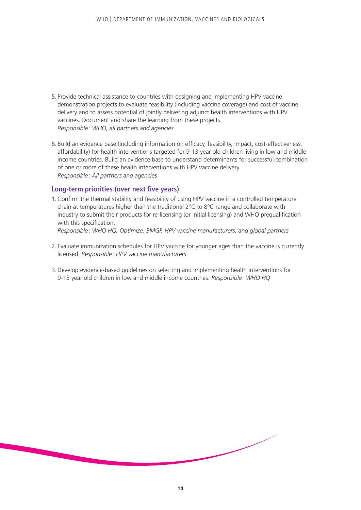- 5. Provide technical assistance to countries with designing and implementing HPV vaccine demonstration projects to evaluate feasibility (including vaccine coverage) and cost of vaccine delivery and to assess potential of jointly delivering adjunct health interventions with HPV vaccines. Document and share the learning from these projects. *Responsible: WHO, all partners and agencies*
- 6. Build an evidence base (including information on efficacy, feasibility, impact, cost-effectiveness, affordability) for health interventions targeted for 9-13 year old children living in low and middle income countries. Build an evidence base to understand determinants for successful combination of one or more of these health interventions with HPV vaccine delivery. *Responsible: All partners and agencies*

## **Long-term priorities (over next five years)**

- 1.Confirm the thermal stability and feasibility of using HPV vaccine in a controlled temperature chain at temperatures higher than the traditional  $2^{\circ}C$  to  $8^{\circ}C$  range and collaborate with industry to submit their products for re-licensing (or initial licensing) and WHO prequalification with this specification. *Responsible: WHO HQ, Optimize, BMGF, HPV vaccine manufacturers, and global partners*
- 
- 2. Evaluate immunization schedules for HPV vaccine for younger ages than the vaccine is currently licensed. *Responsible: HPV vaccine manufacturers*
- 3.Develop evidence-based guidelines on selecting and implementing health interventions for 9-13 year old children in low and middle income countries. *Responsible: WHO HQ*

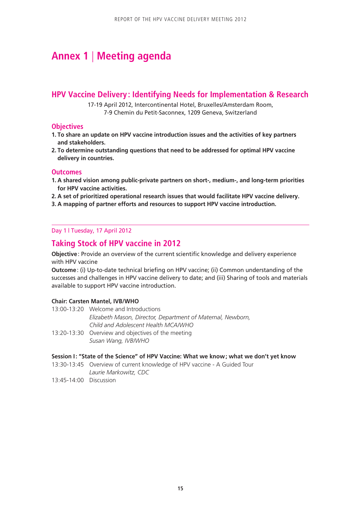## **Annex 1** | **Meeting agenda**

## **HPV Vaccine Delivery : Identifying Needs for Implementation & Research**

17-19 April 2012, Intercontinental Hotel, Bruxelles/Amsterdam Room, 7-9 Chemin du Petit-Saconnex, 1209 Geneva, Switzerland

## **Objectives**

- **1. To share an update on HPV vaccine introduction issues and the activities of key partners and stakeholders.**
- **2. To determine outstanding questions that need to be addressed for optimal HPV vaccine delivery in countries.**

## **Outcomes**

- **1. A shared vision among public-private partners on short-, medium-, and long-term priorities for HPV vaccine activities.**
- **2. A set of prioritized operational research issues that would facilitate HPV vaccine delivery.**
- **3. A mapping of partner efforts and resources to support HPV vaccine introduction.**

## Day 1 | Tuesday, 17 April 2012

## **Taking Stock of HPV vaccine in 2012**

**Objective**: Provide an overview of the current scientific knowledge and delivery experience with HPV vaccine

**Outcome**: (i) Up-to-date technical briefing on HPV vaccine; (ii) Common understanding of the successes and challenges in HPV vaccine delivery to date; and (iii) Sharing of tools and materials available to support HPV vaccine introduction.

#### **Chair: Carsten Mantel, IVB/WHO**

- 13:00-13:20 Welcome and Introductions *Elizabeth Mason, Director, Department of Maternal, Newborn, Child and Adolescent Health MCA/WHO*
- 13:20-13:30 Overview and objectives of the meeting *Susan Wang, IVB/WHO*

#### **Session I: "State of the Science" of HPV Vaccine: What we know; what we don't yet know**

- 13:30-13:45 Overview of current knowledge of HPV vaccine A Guided Tour *Laurie Markowitz, CDC*
- 13:45-14:00 Discussion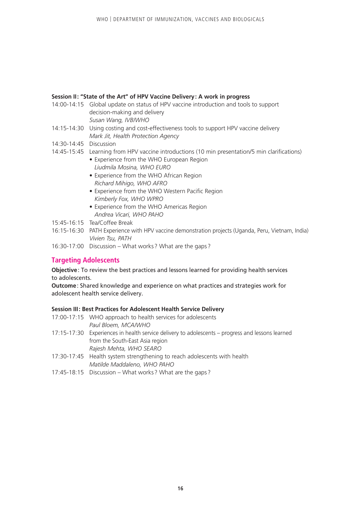## **Session II: "State of the Art" of HPV Vaccine Delivery: A work in progress**

- 14:00-14:15 Global update on status of HPV vaccine introduction and tools to support decision-making and delivery *Susan Wang, IVB/WHO*
- 14:15-14:30 Using costing and cost-effectiveness tools to support HPV vaccine delivery *Mark Jit, Health Protection Agency*
- 14:30-14:45 Discussion
- 14:45-15:45 Learning from HPV vaccine introductions (10 min presentation/5 min clarifications)
	- Experience from the WHO European Region *Liudmila Mosina, WHO EURO*
	- Experience from the WHO African Region *Richard Mihigo, WHO AFRO*
	- Experience from the WHO Western Pacific Region *Kimberly Fox, WHO WPRO*
	- Experience from the WHO Americas Region *Andrea Vicari, WHO PAHO*
- 15:45-16:15 Tea/Coffee Break
- 16:15-16:30 PATH Experience with HPV vaccine demonstration projects (Uganda, Peru, Vietnam, India) *Vivien Tsu, PATH*
- 16:30-17:00 Discussion What works? What are the gaps ?

## **Targeting Adolescents**

**Objective**: To review the best practices and lessons learned for providing health services to adolescents.

**Outcome**: Shared knowledge and experience on what practices and strategies work for adolescent health service delivery.

#### **Session III: Best Practices for Adolescent Health Service Delivery**

- 17:00-17:15 WHO approach to health services for adolescents *Paul Bloem, MCA/WHO* 17:15-17:30 Experiences in health service delivery to adolescents – progress and lessons learned from the South-East Asia region *Rajesh Mehta, WHO SEARO*
- 17:30-17:45 Health system strengthening to reach adolescents with health *Matilde Maddaleno, WHO PAHO*
- 17:45-18:15 Discussion What works? What are the gaps ?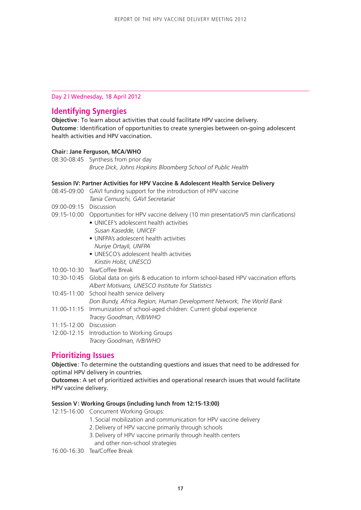## Day 2 | Wednesday, 18 April 2012

## **Identifying Synergies**

**Objective**: To learn about activities that could facilitate HPV vaccine delivery. **Outcome**: Identification of opportunities to create synergies between on-going adolescent health activities and HPV vaccination.

## **Chair: Jane Ferguson, MCA/WHO**

08:30-08:45 Synthesis from prior day *Bruce Dick, Johns Hopkins Bloomberg School of Public Health*

#### **Session IV: Partner Activities for HPV Vaccine & Adolescent Health Service Delivery**

- 08:45-09:00 GAVI funding support for the introduction of HPV vaccine *Tania Cernuschi, GAVI Secretariat*
- 09:00-09:15 Discussion
- 09:15-10:00 Opportunities for HPV vaccine delivery (10 min presentation/5 min clarifications)
	- UNICEF's adolescent health activities *Susan Kasedde, UNICEF*
	- UNFPA's adolescent health activities *Nuriye Ortayli, UNFPA*
	- UNESCO's adolescent health activities *Kirstin Holst, UNESCO*
- 10:00-10:30 Tea/Coffee Break
- 10:30-10:45 Global data on girls & education to inform school-based HPV vaccination efforts *Albert Motivans, UNESCO Institute for Statistics*
- 10:45-11:00 School health service delivery

*Don Bundy, Africa Region, Human Development Network, The World Bank*

- 11:00-11:15 Immunization of school-aged children: Current global experience *Tracey Goodman, IVB/WHO*
- 11:15-12:00 Discussion
- 12:00-12:15 Introduction to Working Groups *Tracey Goodman, IVB/WHO*

## **Prioritizing Issues**

**Objective**: To determine the outstanding questions and issues that need to be addressed for optimal HPV delivery in countries.

**Outcomes** : A set of prioritized activities and operational research issues that would facilitate HPV vaccine delivery.

#### **Session V: Working Groups (including lunch from 12:15-13:00)**

12:15-16:00 Concurrent Working Groups:

- 1. Social mobilization and communication for HPV vaccine delivery
- 2. Delivery of HPV vaccine primarily through schools
- 3. Delivery of HPV vaccine primarily through health centers and other non-school strategies

16:00-16:30 Tea/Coffee Break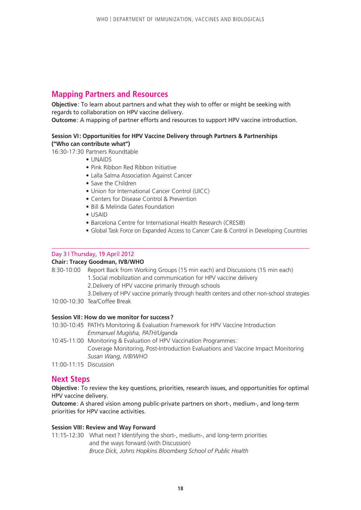## **Mapping Partners and Resources**

**Objective**: To learn about partners and what they wish to offer or might be seeking with regards to collaboration on HPV vaccine delivery.

**Outcome**: A mapping of partner efforts and resources to support HPV vaccine introduction.

## **Session VI: Opportunities for HPV Vaccine Delivery through Partners & Partnerships ("Who can contribute what")**

16:30-17:30 Partners Roundtable

- UNAIDS
- Pink Ribbon Red Ribbon Initiative
- Lalla Salma Association Against Cancer
- Save the Children
- Union for International Cancer Control (UICC)
- Centers for Disease Control & Prevention
- Bill & Melinda Gates Foundation
- USAID
- Barcelona Centre for International Health Research (CRESIB)
- Global Task Force on Expanded Access to Cancer Care & Control in Developing Countries

#### Day 3 | Thursday, 19 April 2012

### **Chair: Tracey Goodman, IVB/WHO**

- 8:30-10:00 Report Back from Working Groups (15 min each) and Discussions (15 min each) 1.Social mobilization and communication for HPV vaccine delivery
	- 2.Delivery of HPV vaccine primarily through schools
	- 3.Delivery of HPV vaccine primarily through health centers and other non-school strategies
- 10:00-10:30 Tea/Coffee Break

## **Session VII: How do we monitor for success?**

- 10:30-10:45 PATH's Monitoring & Evaluation Framework for HPV Vaccine Introduction *Emmanuel Mugisha, PATH/Uganda*
- 10:45-11:00 Monitoring & Evaluation of HPV Vaccination Programmes: Coverage Monitoring, Post-Introduction Evaluations and Vaccine Impact Monitoring *Susan Wang, IVB/WHO*
- 11:00-11:15 Discussion

## **Next Steps**

**Objective**: To review the key questions, priorities, research issues, and opportunities for optimal HPV vaccine delivery.

**Outcome**: A shared vision among public-private partners on short-, medium-, and long-term priorities for HPV vaccine activities.

### **Session VIII: Review and Way Forward**

11:15-12:30 What next? Identifying the short-, medium-, and long-term priorities and the ways forward (with Discussion) *Bruce Dick, Johns Hopkins Bloomberg School of Public Health*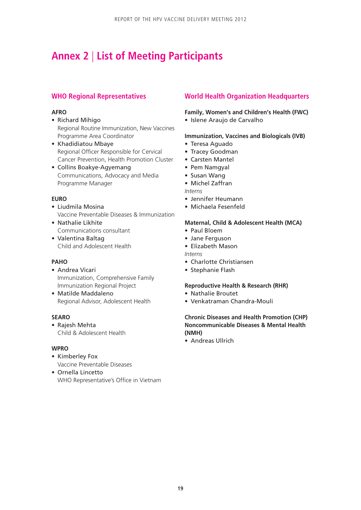## **Annex 2** | **List of Meeting Participants**

## **WHO Regional Representatives**

## **AFRO**

- Richard Mihigo Regional Routine Immunization, New Vaccines Programme Area Coordinator
- • Khadidiatou Mbaye Regional Officer Responsible for Cervical Cancer Prevention, Health Promotion Cluster
- • Collins Boakye-Agyemang Communications, Advocacy and Media Programme Manager

## **EURO**

- • Liudmila Mosina Vaccine Preventable Diseases & Immunization
- • Nathalie Likhite Communications consultant
- • Valentina Baltag Child and Adolescent Health

## **PAHO**

- • Andrea Vicari Immunization, Comprehensive Family Immunization Regional Project
- • Matilde Maddaleno Regional Advisor, Adolescent Health

### **SEARO**

• Rajesh Mehta Child & Adolescent Health

#### **WPRO**

- Kimberley Fox Vaccine Preventable Diseases
- • Ornella Lincetto WHO Representative's Office in Vietnam

## **World Health Organization Headquarters**

## **Family, Women's and Children's Health (FWC)**

• Islene Araujo de Carvalho

## **Immunization, Vaccines and Biologicals (IVB)**

- • Teresa Aguado
- Tracey Goodman
- • Carsten Mantel
- Pem Namgyal
- • Susan Wang
- • Michel Zaffran
- *Interns*
- • Jennifer Heumann
- • Michaela Fesenfeld

## **Maternal, Child & Adolescent Health (MCA)**

- • Paul Bloem
- Jane Ferguson
- • Elizabeth Mason
- *Interns*
- Charlotte Christiansen
- Stephanie Flash

#### **Reproductive Health & Research (RHR)**

- • Nathalie Broutet
- • Venkatraman Chandra-Mouli

## **Chronic Diseases and Health Promotion (CHP) Noncommunicable Diseases & Mental Health (NMH)**

• Andreas Ullrich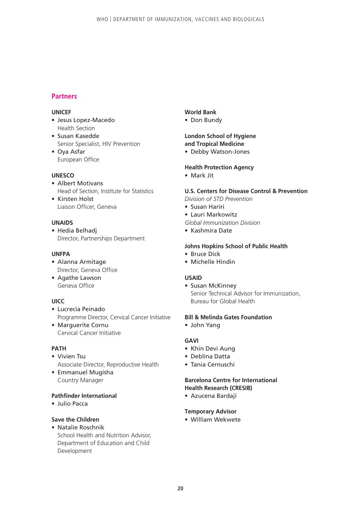## **Partners**

## **UNICEF**

- • Jesus Lopez-Macedo Health Section
- • Susan Kasedde Senior Specialist, HIV Prevention
- • Oya Asfar European Office

## **UNESCO**

- Albert Motivans Head of Section, Institute for Statistics • Kirsten Holst
- Liaison Officer, Geneva

## **UNAIDS**

• Hedia Belhadj Director, Partnerships Department

#### **UNFPA**

- • Alanna Armitage Director, Geneva Office
- Agathe Lawson Geneva Office

## **UICC**

- • Lucrecia Peinado Programme Director, Cervical Cancer Initiative
- Marguerite Cornu Cervical Cancer Initiative

#### **PATH**

- Vivien Tsu Associate Director, Reproductive Health
- • Emmanuel Mugisha Country Manager

#### **Pathfinder International**

• Julio Pacca

## **Save the Children**

• Natalie Roschnik School Health and Nutrition Advisor, Department of Education and Child Development

### **World Bank**

• Don Bundy

## **London School of Hygiene and Tropical Medicine**

• Debby Watson-Jones

## **Health Protection Agency**

• Mark Jit

## **U.S. Centers for Disease Control & Prevention**

- *Division of STD Prevention*
- • Susan Hariri
- • Lauri Markowitz
- *Global Immunization Division*
- • Kashmira Date

## **Johns Hopkins School of Public Health**

- • Bruce Dick
- Michelle Hindin

#### **USAID**

• Susan McKinney Senior Technical Advisor for Immunization, Bureau for Global Health

#### **Bill & Melinda Gates Foundation**

• John Yang

## **GAVI**

- • Khin Devi Aung
- • Deblina Datta
- • Tania Cernuschi

## **Barcelona Centre for International Health Research (CRESIB)**

• Azucena Bardají

#### **Temporary Advisor**

• William Wekwete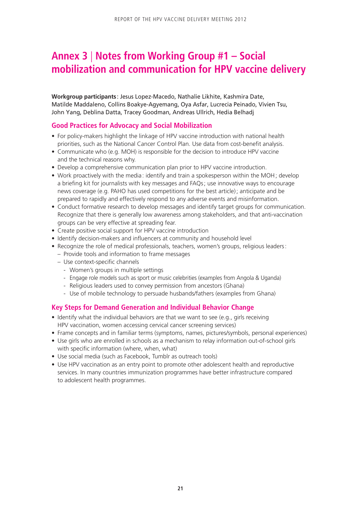## **Annex 3** | **Notes from Working Group #1 – Social mobilization and communication for HPV vaccine delivery**

**Workgroup participants** : Jesus Lopez-Macedo, Nathalie Likhite, Kashmira Date, Matilde Maddaleno, Collins Boakye-Agyemang, Oya Asfar, Lucrecia Peinado, Vivien Tsu, John Yang, Deblina Datta, Tracey Goodman, Andreas Ullrich, Hedia Belhadj

## **Good Practices for Advocacy and Social Mobilization**

- For policy-makers highlight the linkage of HPV vaccine introduction with national health priorities, such as the National Cancer Control Plan. Use data from cost-benefit analysis.
- Communicate who (e.g. MOH) is responsible for the decision to introduce HPV vaccine and the technical reasons why.
- Develop a comprehensive communication plan prior to HPV vaccine introduction.
- Work proactively with the media: identify and train a spokesperson within the MOH; develop a briefing kit for journalists with key messages and FAQs; use innovative ways to encourage news coverage (e.g. PAHO has used competitions for the best article); anticipate and be prepared to rapidly and effectively respond to any adverse events and misinformation.
- Conduct formative research to develop messages and identify target groups for communication. Recognize that there is generally low awareness among stakeholders, and that anti-vaccination groups can be very effective at spreading fear.
- Create positive social support for HPV vaccine introduction
- Identify decision-makers and influencers at community and household level
- Recognize the role of medical professionals, teachers, women's groups, religious leaders: – Provide tools and information to frame messages
	- Use context-specific channels
		- Women's groups in multiple settings
		- Engage role models such as sport or music celebrities (examples from Angola & Uganda)
		- Religious leaders used to convey permission from ancestors (Ghana)
		- Use of mobile technology to persuade husbands/fathers (examples from Ghana)

## **Key Steps for Demand Generation and Individual Behavior Change**

- Identify what the individual behaviors are that we want to see (e.g., girls receiving HPV vaccination, women accessing cervical cancer screening services)
- Frame concepts and in familiar terms (symptoms, names, pictures/symbols, personal experiences)
- Use girls who are enrolled in schools as a mechanism to relay information out-of-school girls with specific information (where, when, what)
- Use social media (such as Facebook, Tumblr as outreach tools)
- Use HPV vaccination as an entry point to promote other adolescent health and reproductive services. In many countries immunization programmes have better infrastructure compared to adolescent health programmes.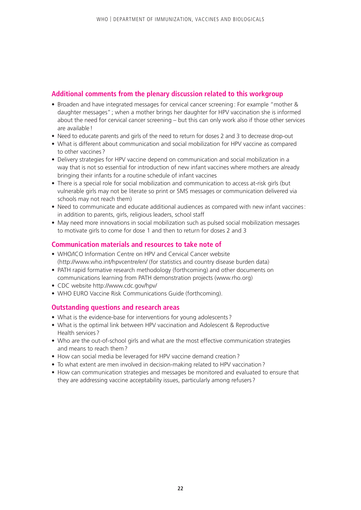## **Additional comments from the plenary discussion related to this workgroup**

- Broaden and have integrated messages for cervical cancer screening: For example "mother & daughter messages"; when a mother brings her daughter for HPV vaccination she is informed about the need for cervical cancer screening – but this can only work also if those other services are available!
- Need to educate parents and girls of the need to return for doses 2 and 3 to decrease drop-out
- What is different about communication and social mobilization for HPV vaccine as compared to other vaccines ?
- Delivery strategies for HPV vaccine depend on communication and social mobilization in a way that is not so essential for introduction of new infant vaccines where mothers are already bringing their infants for a routine schedule of infant vaccines
- There is a special role for social mobilization and communication to access at-risk girls (but vulnerable girls may not be literate so print or SMS messages or communication delivered via schools may not reach them)
- Need to communicate and educate additional audiences as compared with new infant vaccines: in addition to parents, girls, religious leaders, school staff
- May need more innovations in social mobilization such as pulsed social mobilization messages to motivate girls to come for dose 1 and then to return for doses 2 and 3

## **Communication materials and resources to take note of**

- WHO/ICO Information Centre on HPV and Cervical Cancer website (http://www.who.int/hpvcentre/en/ (for statistics and country disease burden data)
- PATH rapid formative research methodology (forthcoming) and other documents on communications learning from PATH demonstration projects (www.rho.org)
- CDC website http://www.cdc.gov/hpv/
- WHO EURO Vaccine Risk Communications Guide (forthcoming).

## **Outstanding questions and research areas**

- What is the evidence-base for interventions for young adolescents ?
- What is the optimal link between HPV vaccination and Adolescent & Reproductive Health services?
- Who are the out-of-school girls and what are the most effective communication strategies and means to reach them?
- How can social media be leveraged for HPV vaccine demand creation?
- To what extent are men involved in decision-making related to HPV vaccination?
- How can communication strategies and messages be monitored and evaluated to ensure that they are addressing vaccine acceptability issues, particularly among refusers?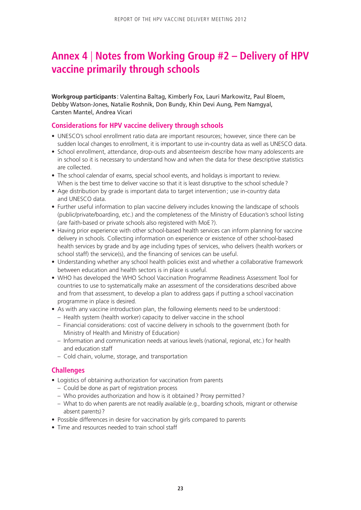## **Annex 4** | **Notes from Working Group #2 – Delivery of HPV vaccine primarily through schools**

**Workgroup participants** : Valentina Baltag, Kimberly Fox, Lauri Markowitz, Paul Bloem, Debby Watson-Jones, Natalie Roshnik, Don Bundy, Khin Devi Aung, Pem Namgyal, Carsten Mantel, Andrea Vicari

## **Considerations for HPV vaccine delivery through schools**

- UNESCO's school enrollment ratio data are important resources; however, since there can be sudden local changes to enrollment, it is important to use in-country data as well as UNESCO data.
- School enrollment, attendance, drop-outs and absenteeism describe how many adolescents are in school so it is necessary to understand how and when the data for these descriptive statistics are collected.
- The school calendar of exams, special school events, and holidays is important to review. When is the best time to deliver vaccine so that it is least disruptive to the school schedule?
- Age distribution by grade is important data to target intervention; use in-country data and UNESCO data.
- Further useful information to plan vaccine delivery includes knowing the landscape of schools (public/private/boarding, etc.) and the completeness of the Ministry of Education's school listing (are faith-based or private schools also registered with MoE ?).
- Having prior experience with other school-based health services can inform planning for vaccine delivery in schools. Collecting information on experience or existence of other school-based health services by grade and by age including types of services, who delivers (health workers or school staff) the service(s), and the financing of services can be useful.
- Understanding whether any school health policies exist and whether a collaborative framework between education and health sectors is in place is useful.
- WHO has developed the WHO School Vaccination Programme Readiness Assessment Tool for countries to use to systematically make an assessment of the considerations described above and from that assessment, to develop a plan to address gaps if putting a school vaccination programme in place is desired.
- As with any vaccine introduction plan, the following elements need to be understood: – Health system (health worker) capacity to deliver vaccine in the school
	- Financial considerations: cost of vaccine delivery in schools to the government (both for Ministry of Health and Ministry of Education)
	- Information and communication needs at various levels (national, regional, etc.) for health and education staff
	- Cold chain, volume, storage, and transportation

## **Challenges**

- Logistics of obtaining authorization for vaccination from parents
	- Could be done as part of registration process
	- Who provides authorization and how is it obtained? Proxy permitted?
	- What to do when parents are not readily available (e.g., boarding schools, migrant or otherwise absent parents)?
- Possible differences in desire for vaccination by girls compared to parents
- Time and resources needed to train school staff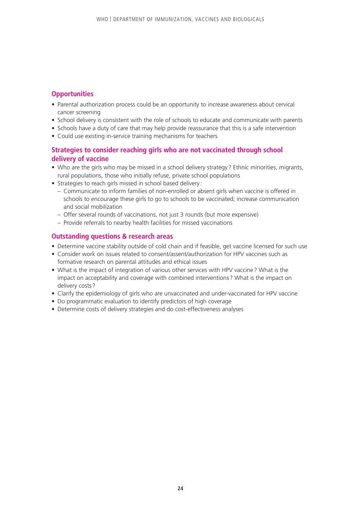## **Opportunities**

- Parental authorization process could be an opportunity to increase awareness about cervical cancer screening
- School delivery is consistent with the role of schools to educate and communicate with parents
- Schools have a duty of care that may help provide reassurance that this is a safe intervention
- Could use existing in-service training mechanisms for teachers

## **Strategies to consider reaching girls who are not vaccinated through school delivery of vaccine**

- Who are the girls who may be missed in a school delivery strategy ? Ethnic minorities, migrants, rural populations, those who initially refuse, private school populations
- Strategies to reach girls missed in school based delivery :
	- Communicate to inform families of non-enrolled or absent girls when vaccine is offered in schools to encourage these girls to go to schools to be vaccinated; increase communication and social mobilization
	- Offer several rounds of vaccinations, not just 3 rounds (but more expensive)
	- Provide referrals to nearby health facilities for missed vaccinations

## **Outstanding questions & research areas**

- Determine vaccine stability outside of cold chain and if feasible, get vaccine licensed for such use
- Consider work on issues related to consent/assent/authorization for HPV vaccines such as formative research on parental attitudes and ethical issues
- What is the impact of integration of various other services with HPV vaccine ? What is the impact on acceptability and coverage with combined interventions? What is the impact on delivery costs ?
- Clarify the epidemiology of girls who are unvaccinated and under-vaccinated for HPV vaccine
- Do programmatic evaluation to identify predictors of high coverage
- Determine costs of delivery strategies and do cost-effectiveness analyses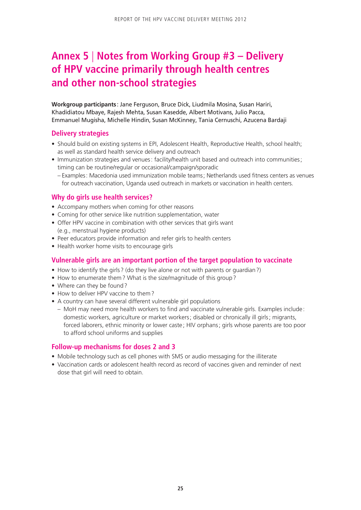## **Annex 5** | **Notes from Working Group #3 – Delivery of HPV vaccine primarily through health centres and other non-school strategies**

**Workgroup participants** : Jane Ferguson, Bruce Dick, Liudmila Mosina, Susan Hariri, Khadidiatou Mbaye, Rajesh Mehta, Susan Kasedde, Albert Motivans, Julio Pacca, Emmanuel Mugisha, Michelle Hindin, Susan McKinney, Tania Cernuschi, Azucena Bardaji

## **Delivery strategies**

- Should build on existing systems in EPI, Adolescent Health, Reproductive Health, school health; as well as standard health service delivery and outreach
- Immunization strategies and venues: facility/health unit based and outreach into communities; timing can be routine/regular or occasional/campaign/sporadic
	- Examples: Macedonia used immunization mobile teams; Netherlands used fitness centers as venues for outreach vaccination, Uganda used outreach in markets or vaccination in health centers.

## **Why do girls use health services?**

- Accompany mothers when coming for other reasons
- Coming for other service like nutrition supplementation, water
- Offer HPV vaccine in combination with other services that girls want (e.g., menstrual hygiene products)
- Peer educators provide information and refer girls to health centers
- Health worker home visits to encourage girls

## **Vulnerable girls are an important portion of the target population to vaccinate**

- How to identify the girls? (do they live alone or not with parents or guardian?)
- How to enumerate them? What is the size/magnitude of this group?
- Where can they be found?
- How to deliver HPV vaccine to them?
- A country can have several different vulnerable girl populations
	- MoH may need more health workers to find and vaccinate vulnerable girls. Examples include : domestic workers, agriculture or market workers; disabled or chronically ill girls; migrants, forced laborers, ethnic minority or lower caste; HIV orphans; girls whose parents are too poor to afford school uniforms and supplies

## **Follow-up mechanisms for doses 2 and 3**

- Mobile technology such as cell phones with SMS or audio messaging for the illiterate
- Vaccination cards or adolescent health record as record of vaccines given and reminder of next dose that girl will need to obtain.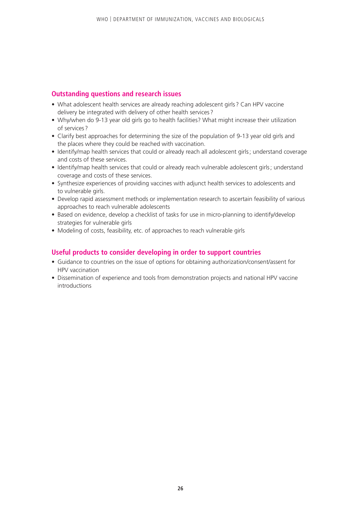## **Outstanding questions and research issues**

- What adolescent health services are already reaching adolescent girls? Can HPV vaccine delivery be integrated with delivery of other health services ?
- Why/when do 9-13 year old girls go to health facilities? What might increase their utilization of services ?
- Clarify best approaches for determining the size of the population of 9-13 year old girls and the places where they could be reached with vaccination.
- Identify/map health services that could or already reach all adolescent girls; understand coverage and costs of these services.
- Identify/map health services that could or already reach vulnerable adolescent girls; understand coverage and costs of these services.
- Synthesize experiences of providing vaccines with adjunct health services to adolescents and to vulnerable girls.
- Develop rapid assessment methods or implementation research to ascertain feasibility of various approaches to reach vulnerable adolescents
- Based on evidence, develop a checklist of tasks for use in micro-planning to identify/develop strategies for vulnerable girls
- Modeling of costs, feasibility, etc. of approaches to reach vulnerable girls

## **Useful products to consider developing in order to support countries**

- Guidance to countries on the issue of options for obtaining authorization/consent/assent for HPV vaccination
- Dissemination of experience and tools from demonstration projects and national HPV vaccine introductions